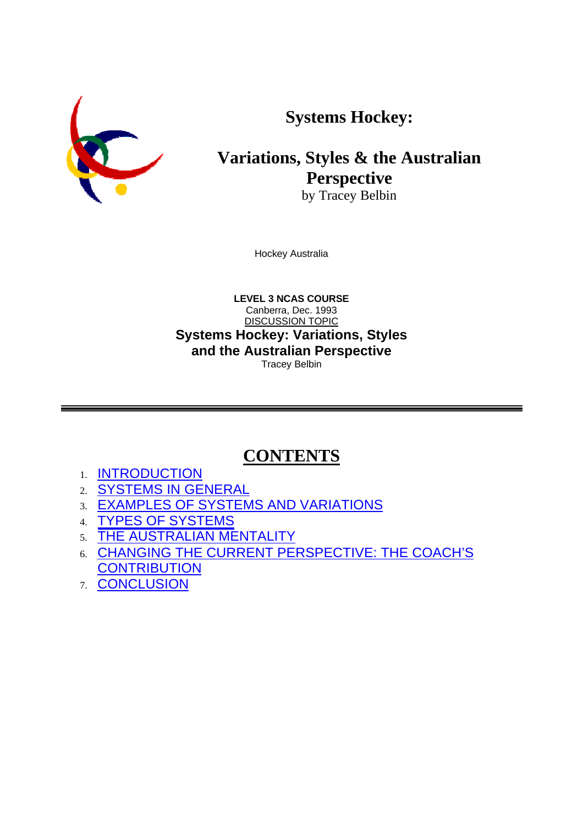**Systems Hockey:**



# **Variations, Styles & the Australian Perspective**

by Tracey Belbin

Hockey Australia

**LEVEL 3 NCAS COURSE** Canberra, Dec. 1993 DISCUSSION TOPIC **Systems Hockey: Variations, Styles and the Australian Perspective** Tracey Belbin

# **CONTENTS**

- 1. INTRODUCTION
- 2. SYSTEMS IN GENERAL
- 3. EXAMPLES OF SYSTEMS AND VARIATIONS
- 4. TYPES OF SYSTEMS
- 5. THE AUSTRALIAN MENTALITY
- 6. CHANGING THE CURRENT PERSPECTIVE: THE COACH'S **CONTRIBUTION**
- 7. CONCLUSION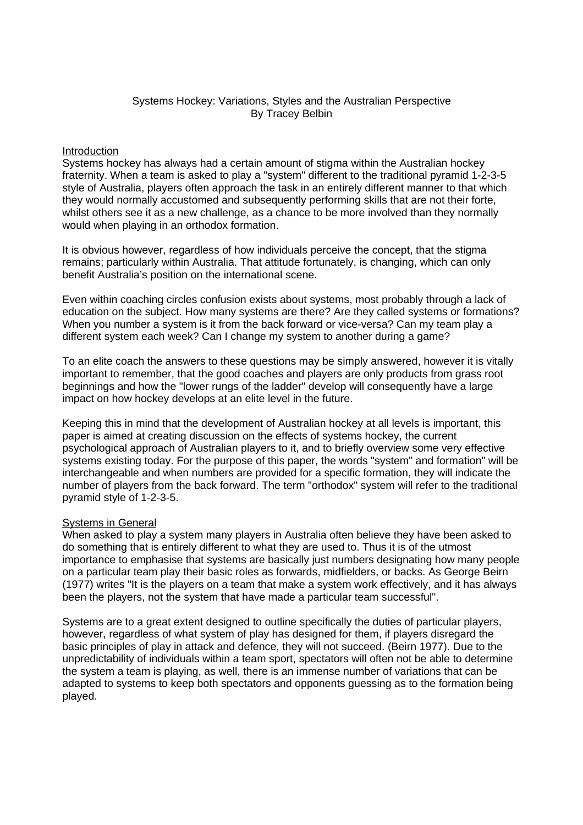# Systems Hockey: Variations, Styles and the Australian Perspective By Tracey Belbin

#### **Introduction**

Systems hockey has always had a certain amount of stigma within the Australian hockey fraternity. When a team is asked to play a "system" different to the traditional pyramid 1-2-3-5 style of Australia, players often approach the task in an entirely different manner to that which they would normally accustomed and subsequently performing skills that are not their forte, whilst others see it as a new challenge, as a chance to be more involved than they normally would when playing in an orthodox formation.

It is obvious however, regardless of how individuals perceive the concept, that the stigma remains; particularly within Australia. That attitude fortunately, is changing, which can only benefit Australia's position on the international scene.

Even within coaching circles confusion exists about systems, most probably through a lack of education on the subject. How many systems are there? Are they called systems or formations? When you number a system is it from the back forward or vice-versa? Can my team play a different system each week? Can I change my system to another during a game?

To an elite coach the answers to these questions may be simply answered, however it is vitally important to remember, that the good coaches and players are only products from grass root beginnings and how the "lower rungs of the ladder" develop will consequently have a large impact on how hockey develops at an elite level in the future.

Keeping this in mind that the development of Australian hockey at all levels is important, this paper is aimed at creating discussion on the effects of systems hockey, the current psychological approach of Australian players to it, and to briefly overview some very effective systems existing today. For the purpose of this paper, the words "system" and formation" will be interchangeable and when numbers are provided for a specific formation, they will indicate the number of players from the back forward. The term "orthodox" system will refer to the traditional pyramid style of 1-2-3-5.

#### Systems in General

When asked to play a system many players in Australia often believe they have been asked to do something that is entirely different to what they are used to. Thus it is of the utmost importance to emphasise that systems are basically just numbers designating how many people on a particular team play their basic roles as forwards, midfielders, or backs. As George Beirn (1977) writes "It is the players on a team that make a system work effectively, and it has always been the players, not the system that have made a particular team successful".

Systems are to a great extent designed to outline specifically the duties of particular players, however, regardless of what system of play has designed for them, if players disregard the basic principles of play in attack and defence, they will not succeed. (Beirn 1977). Due to the unpredictability of individuals within a team sport, spectators will often not be able to determine the system a team is playing, as well, there is an immense number of variations that can be adapted to systems to keep both spectators and opponents guessing as to the formation being played.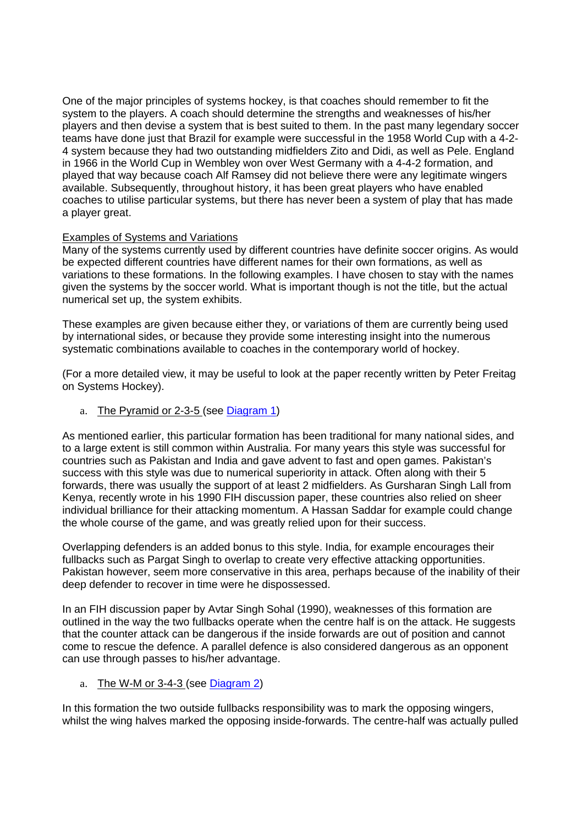One of the major principles of systems hockey, is that coaches should remember to fit the system to the players. A coach should determine the strengths and weaknesses of his/her players and then devise a system that is best suited to them. In the past many legendary soccer teams have done just that Brazil for example were successful in the 1958 World Cup with a 4-2- 4 system because they had two outstanding midfielders Zito and Didi, as well as Pele. England in 1966 in the World Cup in Wembley won over West Germany with a 4-4-2 formation, and played that way because coach Alf Ramsey did not believe there were any legitimate wingers available. Subsequently, throughout history, it has been great players who have enabled coaches to utilise particular systems, but there has never been a system of play that has made a player great.

# Examples of Systems and Variations

Many of the systems currently used by different countries have definite soccer origins. As would be expected different countries have different names for their own formations, as well as variations to these formations. In the following examples. I have chosen to stay with the names given the systems by the soccer world. What is important though is not the title, but the actual numerical set up, the system exhibits.

These examples are given because either they, or variations of them are currently being used by international sides, or because they provide some interesting insight into the numerous systematic combinations available to coaches in the contemporary world of hockey.

(For a more detailed view, it may be useful to look at the paper recently written by Peter Freitag on Systems Hockey).

a. The Pyramid or 2-3-5 (see Diagram 1)

As mentioned earlier, this particular formation has been traditional for many national sides, and to a large extent is still common within Australia. For many years this style was successful for countries such as Pakistan and India and gave advent to fast and open games. Pakistan's success with this style was due to numerical superiority in attack. Often along with their 5 forwards, there was usually the support of at least 2 midfielders. As Gursharan Singh Lall from Kenya, recently wrote in his 1990 FIH discussion paper, these countries also relied on sheer individual brilliance for their attacking momentum. A Hassan Saddar for example could change the whole course of the game, and was greatly relied upon for their success.

Overlapping defenders is an added bonus to this style. India, for example encourages their fullbacks such as Pargat Singh to overlap to create very effective attacking opportunities. Pakistan however, seem more conservative in this area, perhaps because of the inability of their deep defender to recover in time were he dispossessed.

In an FIH discussion paper by Avtar Singh Sohal (1990), weaknesses of this formation are outlined in the way the two fullbacks operate when the centre half is on the attack. He suggests that the counter attack can be dangerous if the inside forwards are out of position and cannot come to rescue the defence. A parallel defence is also considered dangerous as an opponent can use through passes to his/her advantage.

a. The W-M or 3-4-3 (see Diagram 2)

In this formation the two outside fullbacks responsibility was to mark the opposing wingers, whilst the wing halves marked the opposing inside-forwards. The centre-half was actually pulled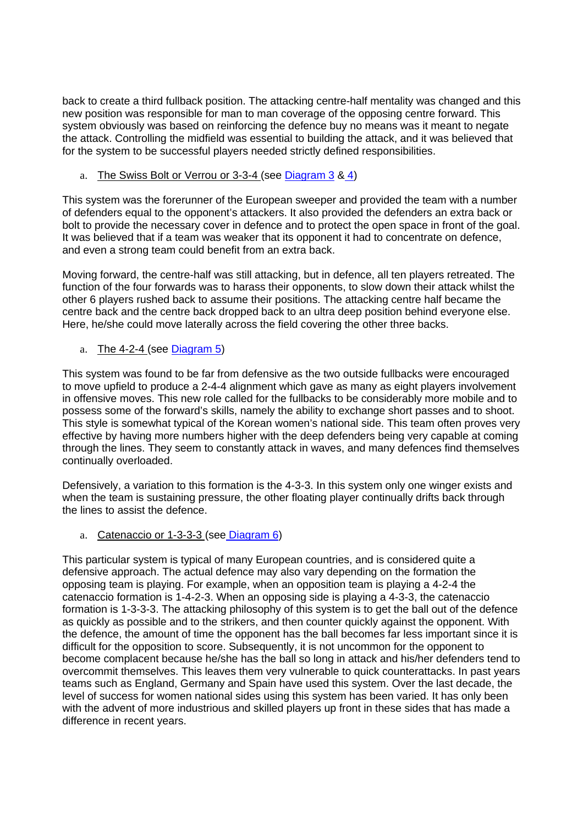back to create a third fullback position. The attacking centre-half mentality was changed and this new position was responsible for man to man coverage of the opposing centre forward. This system obviously was based on reinforcing the defence buy no means was it meant to negate the attack. Controlling the midfield was essential to building the attack, and it was believed that for the system to be successful players needed strictly defined responsibilities.

a. The Swiss Bolt or Verrou or 3-3-4 (see Diagram 3 & 4)

This system was the forerunner of the European sweeper and provided the team with a number of defenders equal to the opponent's attackers. It also provided the defenders an extra back or bolt to provide the necessary cover in defence and to protect the open space in front of the goal. It was believed that if a team was weaker that its opponent it had to concentrate on defence, and even a strong team could benefit from an extra back.

Moving forward, the centre-half was still attacking, but in defence, all ten players retreated. The function of the four forwards was to harass their opponents, to slow down their attack whilst the other 6 players rushed back to assume their positions. The attacking centre half became the centre back and the centre back dropped back to an ultra deep position behind everyone else. Here, he/she could move laterally across the field covering the other three backs.

a. The 4-2-4 (see  $Diagram 5$ )

This system was found to be far from defensive as the two outside fullbacks were encouraged to move upfield to produce a 2-4-4 alignment which gave as many as eight players involvement in offensive moves. This new role called for the fullbacks to be considerably more mobile and to possess some of the forward's skills, namely the ability to exchange short passes and to shoot. This style is somewhat typical of the Korean women's national side. This team often proves very effective by having more numbers higher with the deep defenders being very capable at coming through the lines. They seem to constantly attack in waves, and many defences find themselves continually overloaded.

Defensively, a variation to this formation is the 4-3-3. In this system only one winger exists and when the team is sustaining pressure, the other floating player continually drifts back through the lines to assist the defence.

a. Catenaccio or 1-3-3-3 (see Diagram 6)

This particular system is typical of many European countries, and is considered quite a defensive approach. The actual defence may also vary depending on the formation the opposing team is playing. For example, when an opposition team is playing a 4-2-4 the catenaccio formation is 1-4-2-3. When an opposing side is playing a 4-3-3, the catenaccio formation is 1-3-3-3. The attacking philosophy of this system is to get the ball out of the defence as quickly as possible and to the strikers, and then counter quickly against the opponent. With the defence, the amount of time the opponent has the ball becomes far less important since it is difficult for the opposition to score. Subsequently, it is not uncommon for the opponent to become complacent because he/she has the ball so long in attack and his/her defenders tend to overcommit themselves. This leaves them very vulnerable to quick counterattacks. In past years teams such as England, Germany and Spain have used this system. Over the last decade, the level of success for women national sides using this system has been varied. It has only been with the advent of more industrious and skilled players up front in these sides that has made a difference in recent years.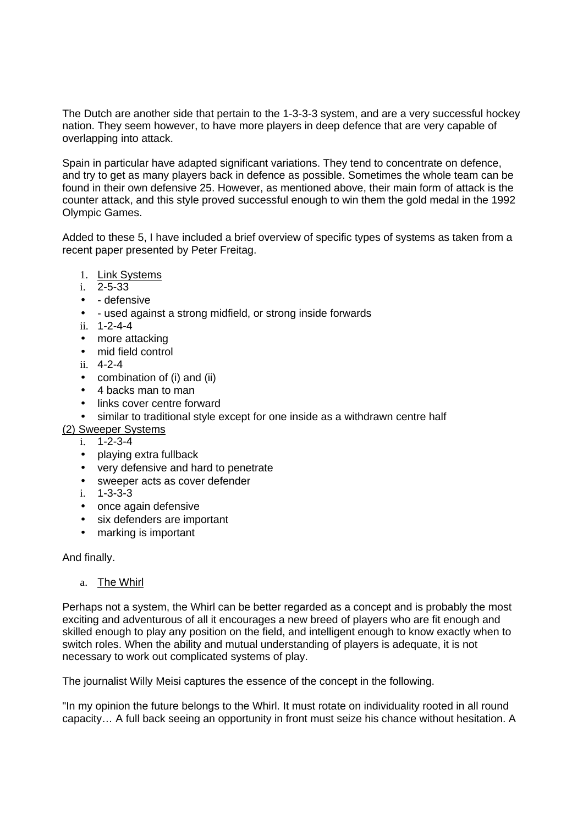The Dutch are another side that pertain to the 1-3-3-3 system, and are a very successful hockey nation. They seem however, to have more players in deep defence that are very capable of overlapping into attack.

Spain in particular have adapted significant variations. They tend to concentrate on defence, and try to get as many players back in defence as possible. Sometimes the whole team can be found in their own defensive 25. However, as mentioned above, their main form of attack is the counter attack, and this style proved successful enough to win them the gold medal in the 1992 Olympic Games.

Added to these 5, I have included a brief overview of specific types of systems as taken from a recent paper presented by Peter Freitag.

- 1. Link Systems
- i. 2-5-33
- - defensive
- - used against a strong midfield, or strong inside forwards
- ii. 1-2-4-4
- more attacking
- mid field control
- ii. 4-2-4
- combination of (i) and (ii)
- 4 backs man to man
- links cover centre forward
- similar to traditional style except for one inside as a withdrawn centre half
- (2) Sweeper Systems
	- i. 1-2-3-4
	- playing extra fullback
	- very defensive and hard to penetrate
	- sweeper acts as cover defender
	- i. 1-3-3-3
	- once again defensive
	- six defenders are important
	- marking is important

And finally.

a. The Whirl

Perhaps not a system, the Whirl can be better regarded as a concept and is probably the most exciting and adventurous of all it encourages a new breed of players who are fit enough and skilled enough to play any position on the field, and intelligent enough to know exactly when to switch roles. When the ability and mutual understanding of players is adequate, it is not necessary to work out complicated systems of play.

The journalist Willy Meisi captures the essence of the concept in the following.

"In my opinion the future belongs to the Whirl. It must rotate on individuality rooted in all round capacity… A full back seeing an opportunity in front must seize his chance without hesitation. A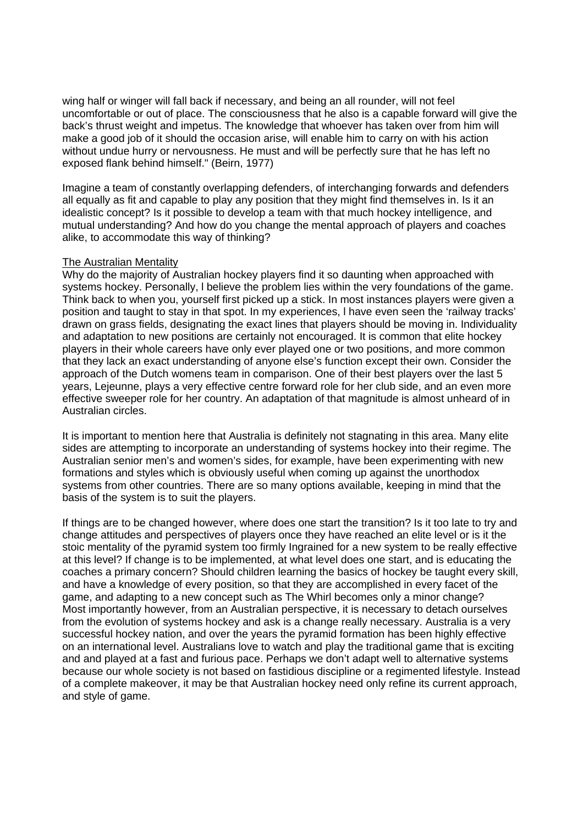wing half or winger will fall back if necessary, and being an all rounder, will not feel uncomfortable or out of place. The consciousness that he also is a capable forward will give the back's thrust weight and impetus. The knowledge that whoever has taken over from him will make a good job of it should the occasion arise, will enable him to carry on with his action without undue hurry or nervousness. He must and will be perfectly sure that he has left no exposed flank behind himself." (Beirn, 1977)

Imagine a team of constantly overlapping defenders, of interchanging forwards and defenders all equally as fit and capable to play any position that they might find themselves in. Is it an idealistic concept? Is it possible to develop a team with that much hockey intelligence, and mutual understanding? And how do you change the mental approach of players and coaches alike, to accommodate this way of thinking?

#### The Australian Mentality

Why do the majority of Australian hockey players find it so daunting when approached with systems hockey. Personally, l believe the problem lies within the very foundations of the game. Think back to when you, yourself first picked up a stick. In most instances players were given a position and taught to stay in that spot. In my experiences, l have even seen the 'railway tracks' drawn on grass fields, designating the exact lines that players should be moving in. Individuality and adaptation to new positions are certainly not encouraged. It is common that elite hockey players in their whole careers have only ever played one or two positions, and more common that they lack an exact understanding of anyone else's function except their own. Consider the approach of the Dutch womens team in comparison. One of their best players over the last 5 years, Lejeunne, plays a very effective centre forward role for her club side, and an even more effective sweeper role for her country. An adaptation of that magnitude is almost unheard of in Australian circles.

It is important to mention here that Australia is definitely not stagnating in this area. Many elite sides are attempting to incorporate an understanding of systems hockey into their regime. The Australian senior men's and women's sides, for example, have been experimenting with new formations and styles which is obviously useful when coming up against the unorthodox systems from other countries. There are so many options available, keeping in mind that the basis of the system is to suit the players.

If things are to be changed however, where does one start the transition? Is it too late to try and change attitudes and perspectives of players once they have reached an elite level or is it the stoic mentality of the pyramid system too firmly Ingrained for a new system to be really effective at this level? If change is to be implemented, at what level does one start, and is educating the coaches a primary concern? Should children learning the basics of hockey be taught every skill, and have a knowledge of every position, so that they are accomplished in every facet of the game, and adapting to a new concept such as The Whirl becomes only a minor change? Most importantly however, from an Australian perspective, it is necessary to detach ourselves from the evolution of systems hockey and ask is a change really necessary. Australia is a very successful hockey nation, and over the years the pyramid formation has been highly effective on an international level. Australians love to watch and play the traditional game that is exciting and and played at a fast and furious pace. Perhaps we don't adapt well to alternative systems because our whole society is not based on fastidious discipline or a regimented lifestyle. Instead of a complete makeover, it may be that Australian hockey need only refine its current approach, and style of game.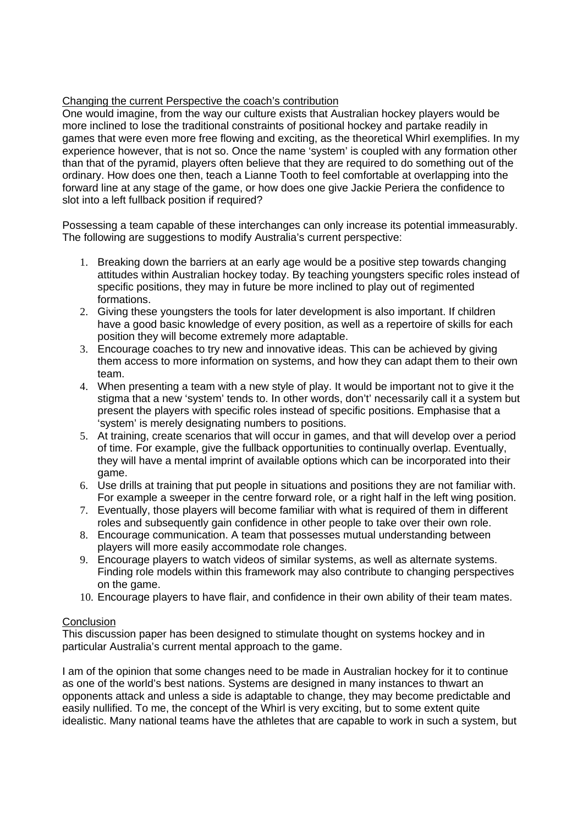# Changing the current Perspective the coach's contribution

One would imagine, from the way our culture exists that Australian hockey players would be more inclined to lose the traditional constraints of positional hockey and partake readily in games that were even more free flowing and exciting, as the theoretical Whirl exemplifies. In my experience however, that is not so. Once the name 'system' is coupled with any formation other than that of the pyramid, players often believe that they are required to do something out of the ordinary. How does one then, teach a Lianne Tooth to feel comfortable at overlapping into the forward line at any stage of the game, or how does one give Jackie Periera the confidence to slot into a left fullback position if required?

Possessing a team capable of these interchanges can only increase its potential immeasurably. The following are suggestions to modify Australia's current perspective:

- 1. Breaking down the barriers at an early age would be a positive step towards changing attitudes within Australian hockey today. By teaching youngsters specific roles instead of specific positions, they may in future be more inclined to play out of regimented formations.
- 2. Giving these youngsters the tools for later development is also important. If children have a good basic knowledge of every position, as well as a repertoire of skills for each position they will become extremely more adaptable.
- 3. Encourage coaches to try new and innovative ideas. This can be achieved by giving them access to more information on systems, and how they can adapt them to their own team.
- 4. When presenting a team with a new style of play. It would be important not to give it the stigma that a new 'system' tends to. In other words, don't' necessarily call it a system but present the players with specific roles instead of specific positions. Emphasise that a 'system' is merely designating numbers to positions.
- 5. At training, create scenarios that will occur in games, and that will develop over a period of time. For example, give the fullback opportunities to continually overlap. Eventually, they will have a mental imprint of available options which can be incorporated into their game.
- 6. Use drills at training that put people in situations and positions they are not familiar with. For example a sweeper in the centre forward role, or a right half in the left wing position.
- 7. Eventually, those players will become familiar with what is required of them in different roles and subsequently gain confidence in other people to take over their own role.
- 8. Encourage communication. A team that possesses mutual understanding between players will more easily accommodate role changes.
- 9. Encourage players to watch videos of similar systems, as well as alternate systems. Finding role models within this framework may also contribute to changing perspectives on the game.
- 10. Encourage players to have flair, and confidence in their own ability of their team mates.

# **Conclusion**

This discussion paper has been designed to stimulate thought on systems hockey and in particular Australia's current mental approach to the game.

I am of the opinion that some changes need to be made in Australian hockey for it to continue as one of the world's best nations. Systems are designed in many instances to thwart an opponents attack and unless a side is adaptable to change, they may become predictable and easily nullified. To me, the concept of the Whirl is very exciting, but to some extent quite idealistic. Many national teams have the athletes that are capable to work in such a system, but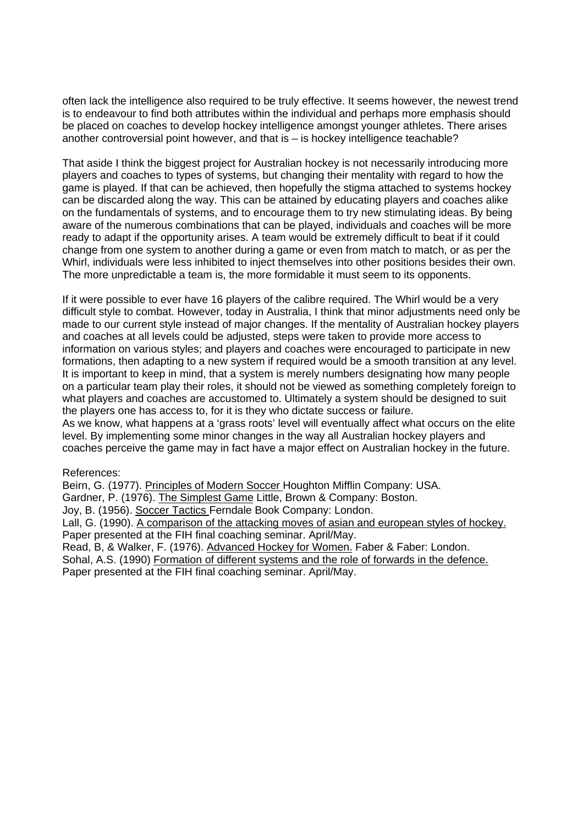often lack the intelligence also required to be truly effective. It seems however, the newest trend is to endeavour to find both attributes within the individual and perhaps more emphasis should be placed on coaches to develop hockey intelligence amongst younger athletes. There arises another controversial point however, and that is – is hockey intelligence teachable?

That aside I think the biggest project for Australian hockey is not necessarily introducing more players and coaches to types of systems, but changing their mentality with regard to how the game is played. If that can be achieved, then hopefully the stigma attached to systems hockey can be discarded along the way. This can be attained by educating players and coaches alike on the fundamentals of systems, and to encourage them to try new stimulating ideas. By being aware of the numerous combinations that can be played, individuals and coaches will be more ready to adapt if the opportunity arises. A team would be extremely difficult to beat if it could change from one system to another during a game or even from match to match, or as per the Whirl, individuals were less inhibited to inject themselves into other positions besides their own. The more unpredictable a team is, the more formidable it must seem to its opponents.

If it were possible to ever have 16 players of the calibre required. The Whirl would be a very difficult style to combat. However, today in Australia, I think that minor adjustments need only be made to our current style instead of major changes. If the mentality of Australian hockey players and coaches at all levels could be adjusted, steps were taken to provide more access to information on various styles; and players and coaches were encouraged to participate in new formations, then adapting to a new system if required would be a smooth transition at any level. It is important to keep in mind, that a system is merely numbers designating how many people on a particular team play their roles, it should not be viewed as something completely foreign to what players and coaches are accustomed to. Ultimately a system should be designed to suit the players one has access to, for it is they who dictate success or failure. As we know, what happens at a 'grass roots' level will eventually affect what occurs on the elite level. By implementing some minor changes in the way all Australian hockey players and coaches perceive the game may in fact have a major effect on Australian hockey in the future.

#### References:

Beirn, G. (1977). Principles of Modern Soccer Houghton Mifflin Company: USA.

Gardner, P. (1976). The Simplest Game Little, Brown & Company: Boston.

Joy, B. (1956). Soccer Tactics Ferndale Book Company: London.

Lall, G. (1990). A comparison of the attacking moves of asian and european styles of hockey. Paper presented at the FIH final coaching seminar. April/May.

Read, B, & Walker, F. (1976). Advanced Hockey for Women. Faber & Faber: London. Sohal, A.S. (1990) Formation of different systems and the role of forwards in the defence. Paper presented at the FIH final coaching seminar. April/May.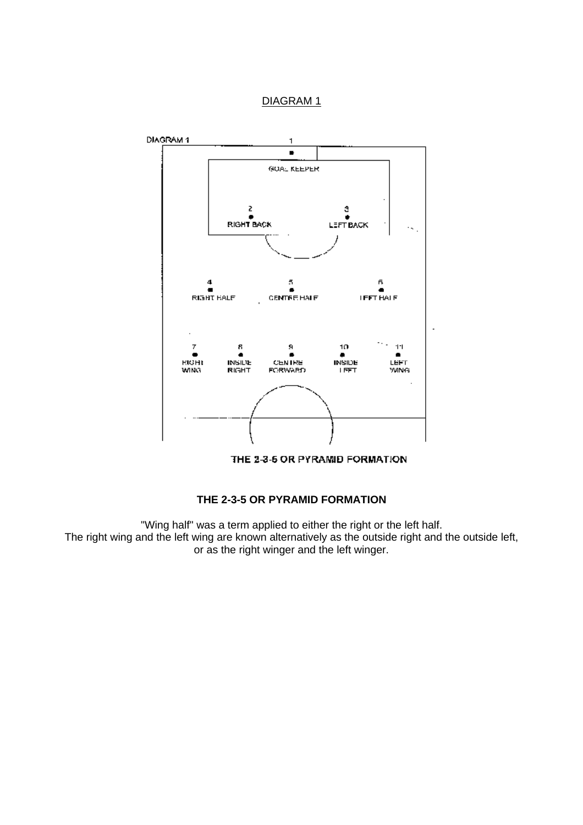



THE 2-3-5 OR PYRAMID FORMATION

# **THE 2-3-5 OR PYRAMID FORMATION**

"Wing half" was a term applied to either the right or the left half. The right wing and the left wing are known alternatively as the outside right and the outside left, or as the right winger and the left winger.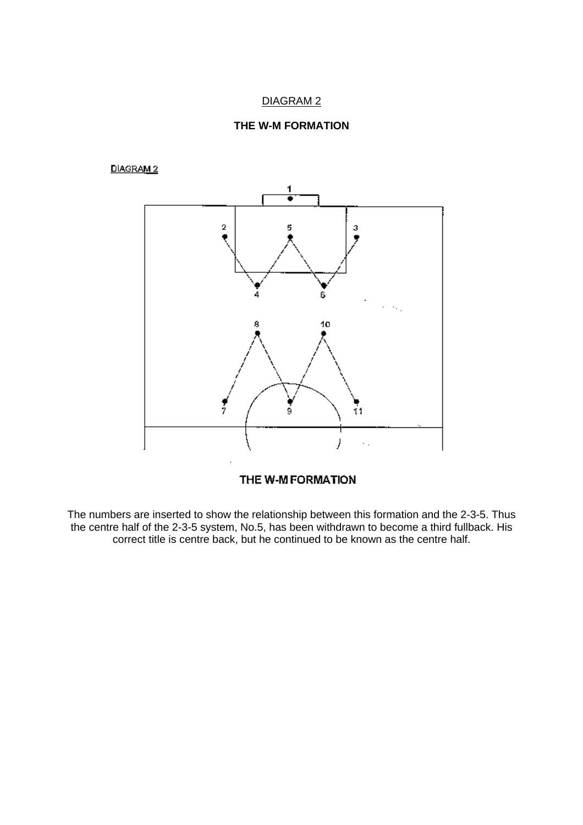

#### DIAGRAM 2



THE W-M FORMATION

The numbers are inserted to show the relationship between this formation and the 2-3-5. Thus the centre half of the 2-3-5 system, No.5, has been withdrawn to become a third fullback. His correct title is centre back, but he continued to be known as the centre half.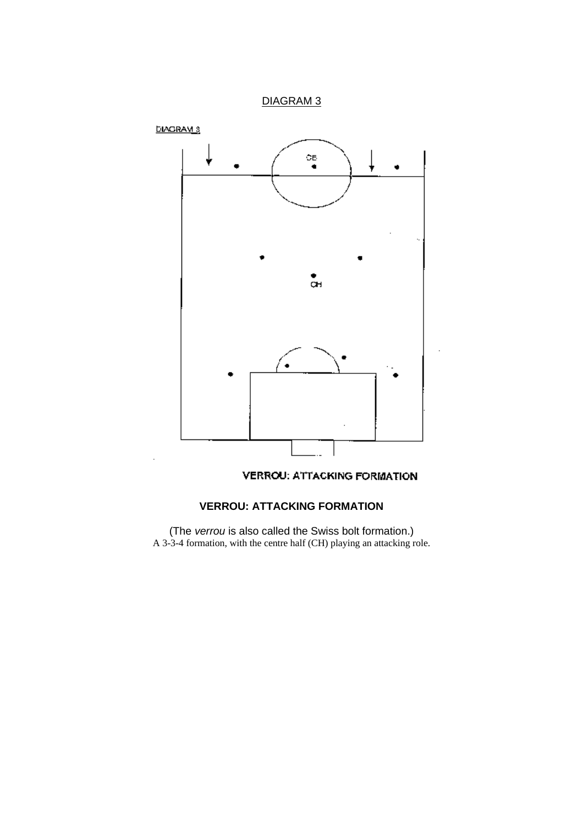

# **VERROU: ATTACKING FORMATION**

(The *verrou* is also called the Swiss bolt formation.) A 3-3-4 formation, with the centre half (CH) playing an attacking role.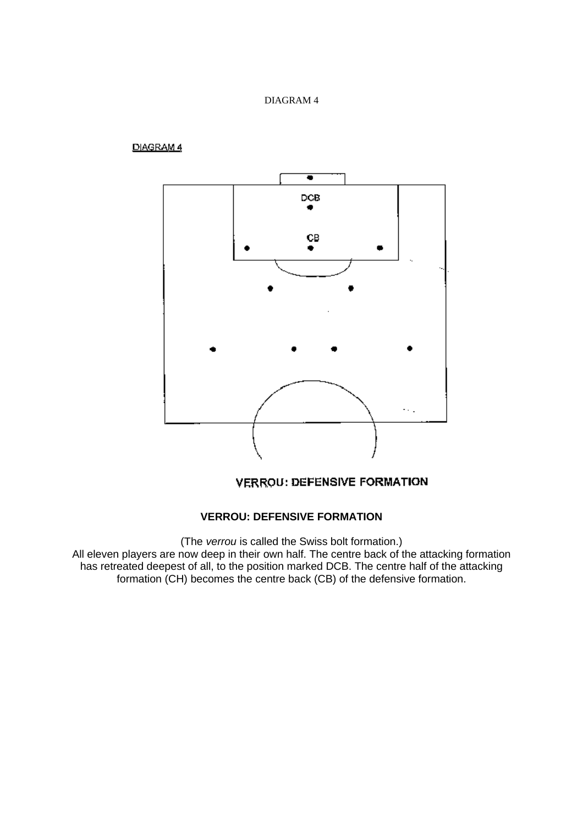# DIAGRAM 4



**VERROU: DEFENSIVE FORMATION** 

#### **VERROU: DEFENSIVE FORMATION**

(The *verrou* is called the Swiss bolt formation.) All eleven players are now deep in their own half. The centre back of the attacking formation has retreated deepest of all, to the position marked DCB. The centre half of the attacking formation (CH) becomes the centre back (CB) of the defensive formation.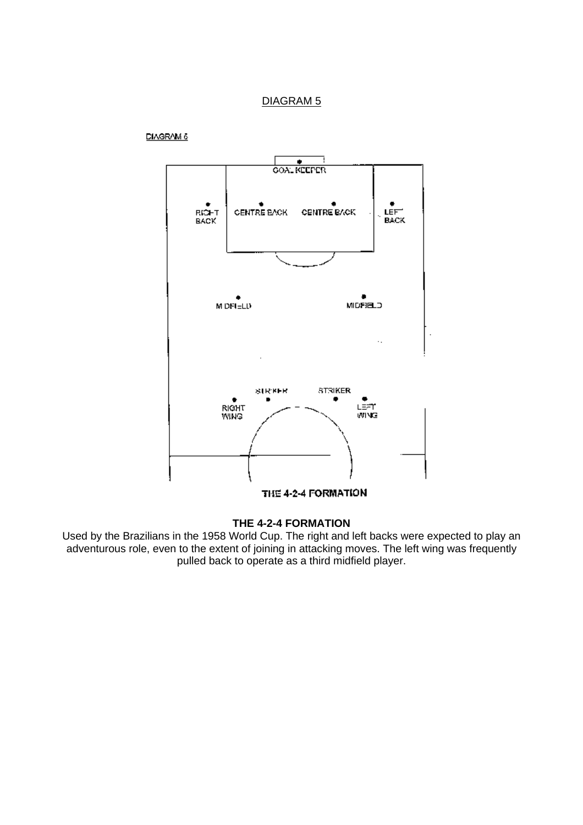

**DIAGRAM 6** 

# **THE 4-2-4 FORMATION**

Used by the Brazilians in the 1958 World Cup. The right and left backs were expected to play an adventurous role, even to the extent of joining in attacking moves. The left wing was frequently pulled back to operate as a third midfield player.